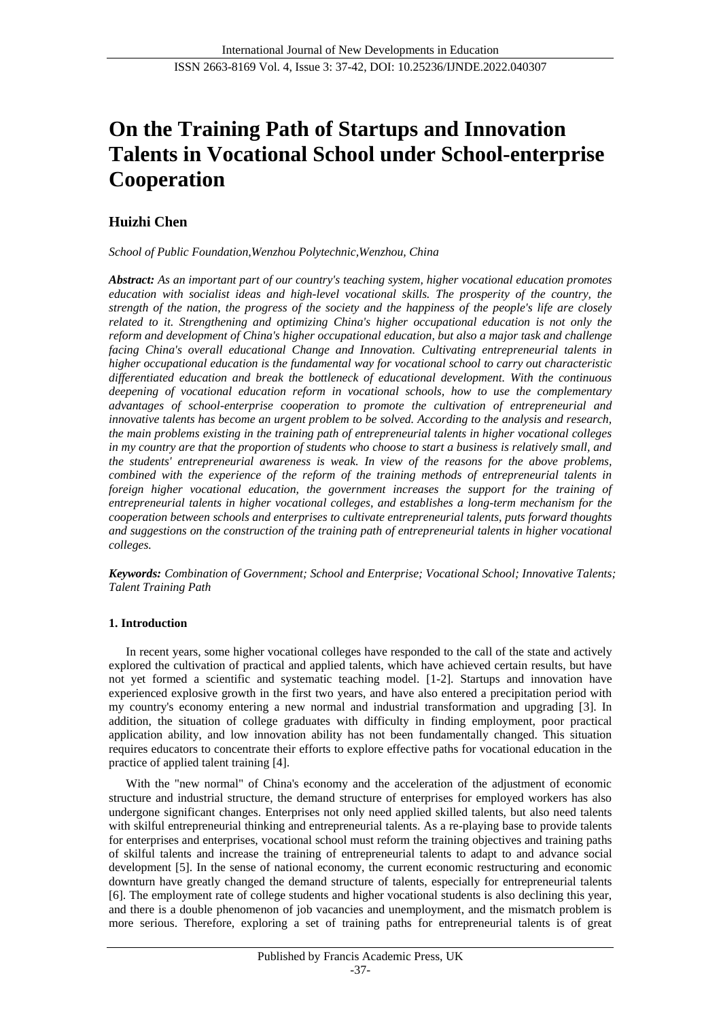# **On the Training Path of Startups and Innovation Talents in Vocational School under School-enterprise Cooperation**

## **Huizhi Chen**

*School of Public Foundation,Wenzhou Polytechnic,Wenzhou, China*

*Abstract: As an important part of our country's teaching system, higher vocational education promotes education with socialist ideas and high-level vocational skills. The prosperity of the country, the strength of the nation, the progress of the society and the happiness of the people's life are closely related to it. Strengthening and optimizing China's higher occupational education is not only the reform and development of China's higher occupational education, but also a major task and challenge facing China's overall educational Change and Innovation. Cultivating entrepreneurial talents in higher occupational education is the fundamental way for vocational school to carry out characteristic differentiated education and break the bottleneck of educational development. With the continuous deepening of vocational education reform in vocational schools, how to use the complementary advantages of school-enterprise cooperation to promote the cultivation of entrepreneurial and innovative talents has become an urgent problem to be solved. According to the analysis and research, the main problems existing in the training path of entrepreneurial talents in higher vocational colleges in my country are that the proportion of students who choose to start a business is relatively small, and the students' entrepreneurial awareness is weak. In view of the reasons for the above problems, combined with the experience of the reform of the training methods of entrepreneurial talents in foreign higher vocational education, the government increases the support for the training of entrepreneurial talents in higher vocational colleges, and establishes a long-term mechanism for the cooperation between schools and enterprises to cultivate entrepreneurial talents, puts forward thoughts and suggestions on the construction of the training path of entrepreneurial talents in higher vocational colleges.*

*Keywords: Combination of Government; School and Enterprise; Vocational School; Innovative Talents; Talent Training Path*

## **1. Introduction**

In recent years, some higher vocational colleges have responded to the call of the state and actively explored the cultivation of practical and applied talents, which have achieved certain results, but have not yet formed a scientific and systematic teaching model. [1-2]. Startups and innovation have experienced explosive growth in the first two years, and have also entered a precipitation period with my country's economy entering a new normal and industrial transformation and upgrading [3]. In addition, the situation of college graduates with difficulty in finding employment, poor practical application ability, and low innovation ability has not been fundamentally changed. This situation requires educators to concentrate their efforts to explore effective paths for vocational education in the practice of applied talent training [4].

With the "new normal" of China's economy and the acceleration of the adjustment of economic structure and industrial structure, the demand structure of enterprises for employed workers has also undergone significant changes. Enterprises not only need applied skilled talents, but also need talents with skilful entrepreneurial thinking and entrepreneurial talents. As a re-playing base to provide talents for enterprises and enterprises, vocational school must reform the training objectives and training paths of skilful talents and increase the training of entrepreneurial talents to adapt to and advance social development [5]. In the sense of national economy, the current economic restructuring and economic downturn have greatly changed the demand structure of talents, especially for entrepreneurial talents [6]. The employment rate of college students and higher vocational students is also declining this year, and there is a double phenomenon of job vacancies and unemployment, and the mismatch problem is more serious. Therefore, exploring a set of training paths for entrepreneurial talents is of great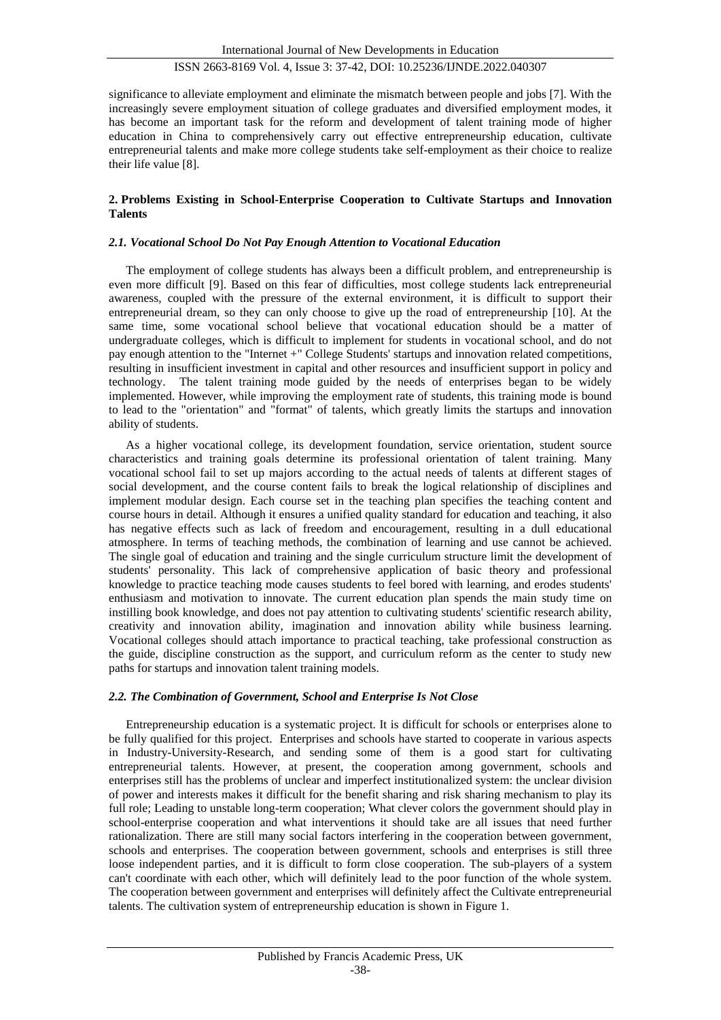significance to alleviate employment and eliminate the mismatch between people and jobs [7]. With the increasingly severe employment situation of college graduates and diversified employment modes, it has become an important task for the reform and development of talent training mode of higher education in China to comprehensively carry out effective entrepreneurship education, cultivate entrepreneurial talents and make more college students take self-employment as their choice to realize their life value [8].

## **2. Problems Existing in School-Enterprise Cooperation to Cultivate Startups and Innovation Talents**

## *2.1. Vocational School Do Not Pay Enough Attention to Vocational Education*

The employment of college students has always been a difficult problem, and entrepreneurship is even more difficult [9]. Based on this fear of difficulties, most college students lack entrepreneurial awareness, coupled with the pressure of the external environment, it is difficult to support their entrepreneurial dream, so they can only choose to give up the road of entrepreneurship [10]. At the same time, some vocational school believe that vocational education should be a matter of undergraduate colleges, which is difficult to implement for students in vocational school, and do not pay enough attention to the "Internet +" College Students' startups and innovation related competitions, resulting in insufficient investment in capital and other resources and insufficient support in policy and technology. The talent training mode guided by the needs of enterprises began to be widely implemented. However, while improving the employment rate of students, this training mode is bound to lead to the "orientation" and "format" of talents, which greatly limits the startups and innovation ability of students.

As a higher vocational college, its development foundation, service orientation, student source characteristics and training goals determine its professional orientation of talent training. Many vocational school fail to set up majors according to the actual needs of talents at different stages of social development, and the course content fails to break the logical relationship of disciplines and implement modular design. Each course set in the teaching plan specifies the teaching content and course hours in detail. Although it ensures a unified quality standard for education and teaching, it also has negative effects such as lack of freedom and encouragement, resulting in a dull educational atmosphere. In terms of teaching methods, the combination of learning and use cannot be achieved. The single goal of education and training and the single curriculum structure limit the development of students' personality. This lack of comprehensive application of basic theory and professional knowledge to practice teaching mode causes students to feel bored with learning, and erodes students' enthusiasm and motivation to innovate. The current education plan spends the main study time on instilling book knowledge, and does not pay attention to cultivating students' scientific research ability, creativity and innovation ability, imagination and innovation ability while business learning. Vocational colleges should attach importance to practical teaching, take professional construction as the guide, discipline construction as the support, and curriculum reform as the center to study new paths for startups and innovation talent training models.

#### *2.2. The Combination of Government, School and Enterprise Is Not Close*

Entrepreneurship education is a systematic project. It is difficult for schools or enterprises alone to be fully qualified for this project. Enterprises and schools have started to cooperate in various aspects in Industry-University-Research, and sending some of them is a good start for cultivating entrepreneurial talents. However, at present, the cooperation among government, schools and enterprises still has the problems of unclear and imperfect institutionalized system: the unclear division of power and interests makes it difficult for the benefit sharing and risk sharing mechanism to play its full role; Leading to unstable long-term cooperation; What clever colors the government should play in school-enterprise cooperation and what interventions it should take are all issues that need further rationalization. There are still many social factors interfering in the cooperation between government, schools and enterprises. The cooperation between government, schools and enterprises is still three loose independent parties, and it is difficult to form close cooperation. The sub-players of a system can't coordinate with each other, which will definitely lead to the poor function of the whole system. The cooperation between government and enterprises will definitely affect the Cultivate entrepreneurial talents. The cultivation system of entrepreneurship education is shown in Figure 1.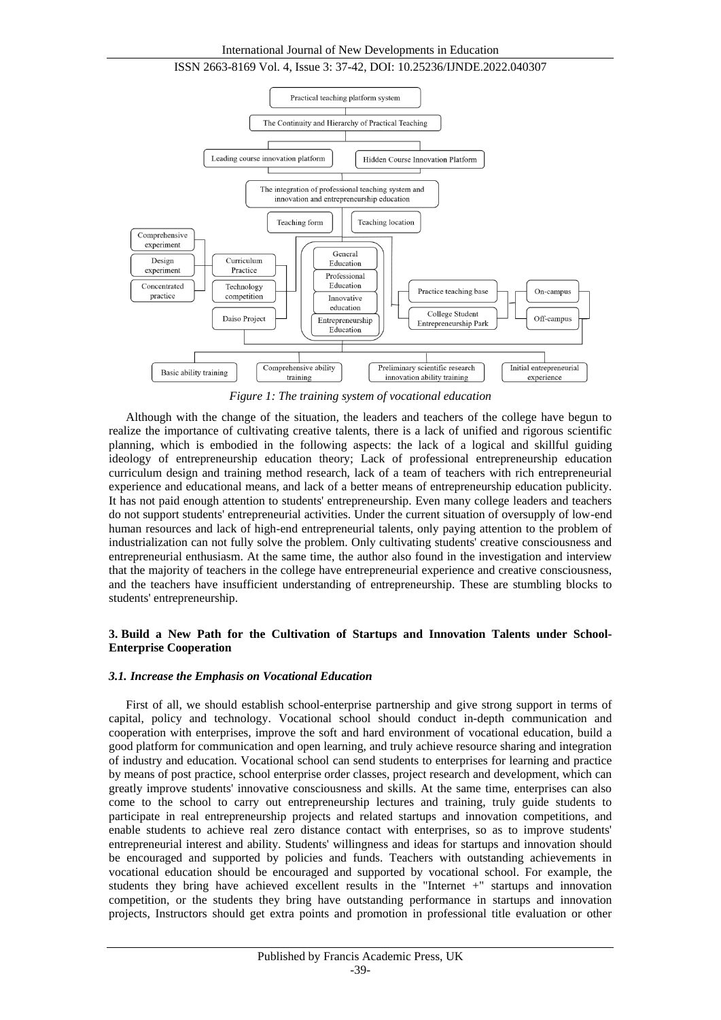

*Figure 1: The training system of vocational education*

Although with the change of the situation, the leaders and teachers of the college have begun to realize the importance of cultivating creative talents, there is a lack of unified and rigorous scientific planning, which is embodied in the following aspects: the lack of a logical and skillful guiding ideology of entrepreneurship education theory; Lack of professional entrepreneurship education curriculum design and training method research, lack of a team of teachers with rich entrepreneurial experience and educational means, and lack of a better means of entrepreneurship education publicity. It has not paid enough attention to students' entrepreneurship. Even many college leaders and teachers do not support students' entrepreneurial activities. Under the current situation of oversupply of low-end human resources and lack of high-end entrepreneurial talents, only paying attention to the problem of industrialization can not fully solve the problem. Only cultivating students' creative consciousness and entrepreneurial enthusiasm. At the same time, the author also found in the investigation and interview that the majority of teachers in the college have entrepreneurial experience and creative consciousness, and the teachers have insufficient understanding of entrepreneurship. These are stumbling blocks to students' entrepreneurship.

## **3. Build a New Path for the Cultivation of Startups and Innovation Talents under School-Enterprise Cooperation**

#### *3.1. Increase the Emphasis on Vocational Education*

First of all, we should establish school-enterprise partnership and give strong support in terms of capital, policy and technology. Vocational school should conduct in-depth communication and cooperation with enterprises, improve the soft and hard environment of vocational education, build a good platform for communication and open learning, and truly achieve resource sharing and integration of industry and education. Vocational school can send students to enterprises for learning and practice by means of post practice, school enterprise order classes, project research and development, which can greatly improve students' innovative consciousness and skills. At the same time, enterprises can also come to the school to carry out entrepreneurship lectures and training, truly guide students to participate in real entrepreneurship projects and related startups and innovation competitions, and enable students to achieve real zero distance contact with enterprises, so as to improve students' entrepreneurial interest and ability. Students' willingness and ideas for startups and innovation should be encouraged and supported by policies and funds. Teachers with outstanding achievements in vocational education should be encouraged and supported by vocational school. For example, the students they bring have achieved excellent results in the "Internet +" startups and innovation competition, or the students they bring have outstanding performance in startups and innovation projects, Instructors should get extra points and promotion in professional title evaluation or other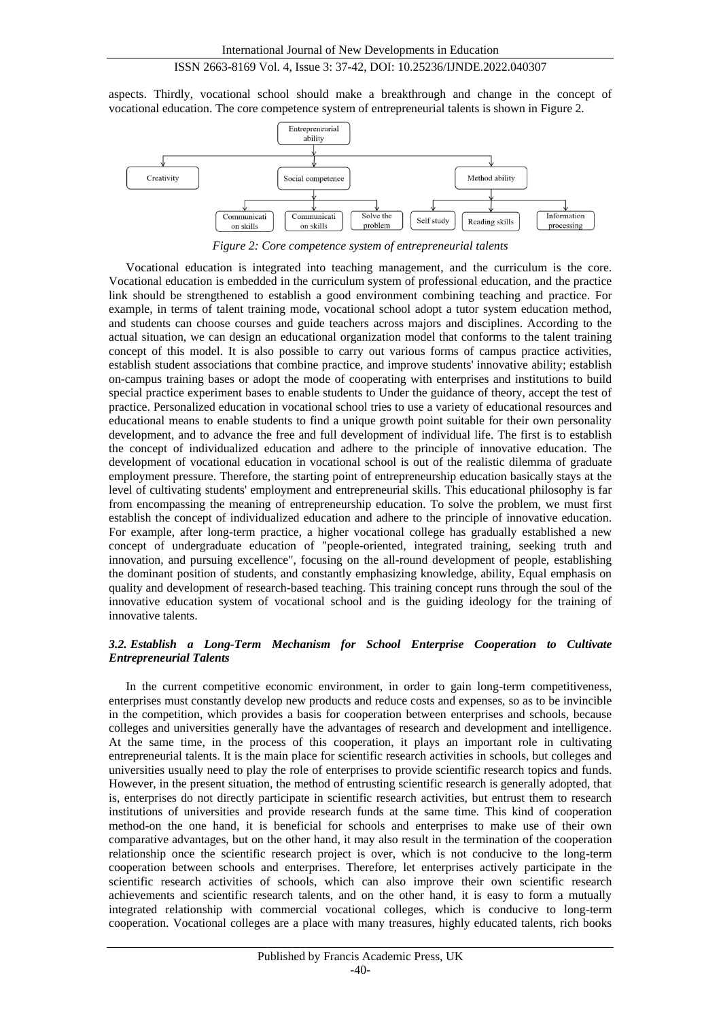aspects. Thirdly, vocational school should make a breakthrough and change in the concept of vocational education. The core competence system of entrepreneurial talents is shown in Figure 2.



*Figure 2: Core competence system of entrepreneurial talents*

Vocational education is integrated into teaching management, and the curriculum is the core. Vocational education is embedded in the curriculum system of professional education, and the practice link should be strengthened to establish a good environment combining teaching and practice. For example, in terms of talent training mode, vocational school adopt a tutor system education method, and students can choose courses and guide teachers across majors and disciplines. According to the actual situation, we can design an educational organization model that conforms to the talent training concept of this model. It is also possible to carry out various forms of campus practice activities, establish student associations that combine practice, and improve students' innovative ability; establish on-campus training bases or adopt the mode of cooperating with enterprises and institutions to build special practice experiment bases to enable students to Under the guidance of theory, accept the test of practice. Personalized education in vocational school tries to use a variety of educational resources and educational means to enable students to find a unique growth point suitable for their own personality development, and to advance the free and full development of individual life. The first is to establish the concept of individualized education and adhere to the principle of innovative education. The development of vocational education in vocational school is out of the realistic dilemma of graduate employment pressure. Therefore, the starting point of entrepreneurship education basically stays at the level of cultivating students' employment and entrepreneurial skills. This educational philosophy is far from encompassing the meaning of entrepreneurship education. To solve the problem, we must first establish the concept of individualized education and adhere to the principle of innovative education. For example, after long-term practice, a higher vocational college has gradually established a new concept of undergraduate education of "people-oriented, integrated training, seeking truth and innovation, and pursuing excellence", focusing on the all-round development of people, establishing the dominant position of students, and constantly emphasizing knowledge, ability, Equal emphasis on quality and development of research-based teaching. This training concept runs through the soul of the innovative education system of vocational school and is the guiding ideology for the training of innovative talents.

## *3.2. Establish a Long-Term Mechanism for School Enterprise Cooperation to Cultivate Entrepreneurial Talents*

In the current competitive economic environment, in order to gain long-term competitiveness, enterprises must constantly develop new products and reduce costs and expenses, so as to be invincible in the competition, which provides a basis for cooperation between enterprises and schools, because colleges and universities generally have the advantages of research and development and intelligence. At the same time, in the process of this cooperation, it plays an important role in cultivating entrepreneurial talents. It is the main place for scientific research activities in schools, but colleges and universities usually need to play the role of enterprises to provide scientific research topics and funds. However, in the present situation, the method of entrusting scientific research is generally adopted, that is, enterprises do not directly participate in scientific research activities, but entrust them to research institutions of universities and provide research funds at the same time. This kind of cooperation method-on the one hand, it is beneficial for schools and enterprises to make use of their own comparative advantages, but on the other hand, it may also result in the termination of the cooperation relationship once the scientific research project is over, which is not conducive to the long-term cooperation between schools and enterprises. Therefore, let enterprises actively participate in the scientific research activities of schools, which can also improve their own scientific research achievements and scientific research talents, and on the other hand, it is easy to form a mutually integrated relationship with commercial vocational colleges, which is conducive to long-term cooperation. Vocational colleges are a place with many treasures, highly educated talents, rich books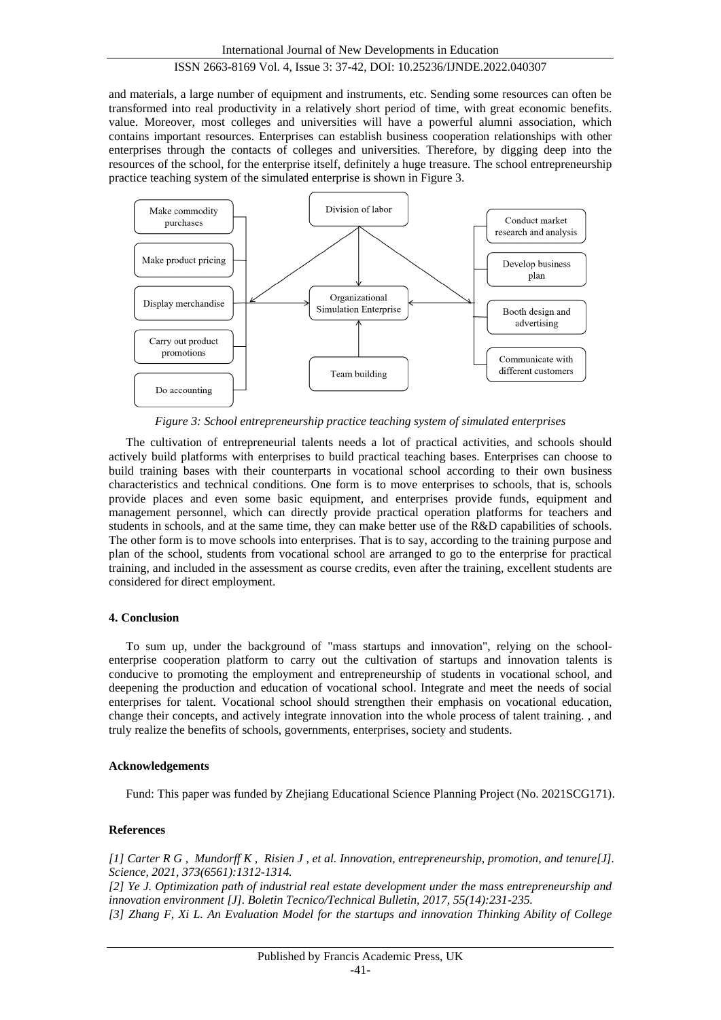and materials, a large number of equipment and instruments, etc. Sending some resources can often be transformed into real productivity in a relatively short period of time, with great economic benefits. value. Moreover, most colleges and universities will have a powerful alumni association, which contains important resources. Enterprises can establish business cooperation relationships with other enterprises through the contacts of colleges and universities. Therefore, by digging deep into the resources of the school, for the enterprise itself, definitely a huge treasure. The school entrepreneurship practice teaching system of the simulated enterprise is shown in Figure 3.



*Figure 3: School entrepreneurship practice teaching system of simulated enterprises*

The cultivation of entrepreneurial talents needs a lot of practical activities, and schools should actively build platforms with enterprises to build practical teaching bases. Enterprises can choose to build training bases with their counterparts in vocational school according to their own business characteristics and technical conditions. One form is to move enterprises to schools, that is, schools provide places and even some basic equipment, and enterprises provide funds, equipment and management personnel, which can directly provide practical operation platforms for teachers and students in schools, and at the same time, they can make better use of the R&D capabilities of schools. The other form is to move schools into enterprises. That is to say, according to the training purpose and plan of the school, students from vocational school are arranged to go to the enterprise for practical training, and included in the assessment as course credits, even after the training, excellent students are considered for direct employment.

## **4. Conclusion**

To sum up, under the background of "mass startups and innovation", relying on the schoolenterprise cooperation platform to carry out the cultivation of startups and innovation talents is conducive to promoting the employment and entrepreneurship of students in vocational school, and deepening the production and education of vocational school. Integrate and meet the needs of social enterprises for talent. Vocational school should strengthen their emphasis on vocational education, change their concepts, and actively integrate innovation into the whole process of talent training. , and truly realize the benefits of schools, governments, enterprises, society and students.

## **Acknowledgements**

Fund: This paper was funded by Zhejiang Educational Science Planning Project (No. 2021SCG171).

## **References**

*[1] Carter R G , Mundorff K , Risien J , et al. Innovation, entrepreneurship, promotion, and tenure[J]. Science, 2021, 373(6561):1312-1314.*

*[2] Ye J. Optimization path of industrial real estate development under the mass entrepreneurship and innovation environment [J]. Boletin Tecnico/Technical Bulletin, 2017, 55(14):231-235. [3] Zhang F, Xi L. An Evaluation Model for the startups and innovation Thinking Ability of College*